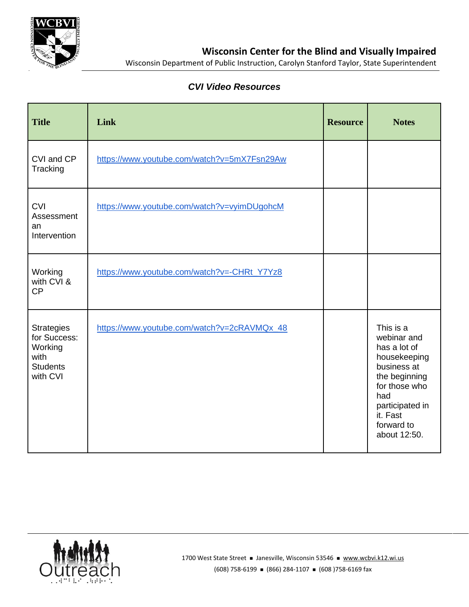

Wisconsin Department of Public Instruction, Carolyn Stanford Taylor, State Superintendent

## *CVI Video Resources*

| <b>Title</b>                                                                        | Link                                        | <b>Resource</b> | <b>Notes</b>                                                                                                                                                                  |
|-------------------------------------------------------------------------------------|---------------------------------------------|-----------------|-------------------------------------------------------------------------------------------------------------------------------------------------------------------------------|
| CVI and CP<br>Tracking                                                              | https://www.youtube.com/watch?v=5mX7Fsn29Aw |                 |                                                                                                                                                                               |
| <b>CVI</b><br>Assessment<br>an<br>Intervention                                      | https://www.youtube.com/watch?v=vyimDUgohcM |                 |                                                                                                                                                                               |
| Working<br>with CVI &<br>CP                                                         | https://www.youtube.com/watch?v=-CHRt_Y7Yz8 |                 |                                                                                                                                                                               |
| <b>Strategies</b><br>for Success:<br>Working<br>with<br><b>Students</b><br>with CVI | https://www.youtube.com/watch?v=2cRAVMQx_48 |                 | This is a<br>webinar and<br>has a lot of<br>housekeeping<br>business at<br>the beginning<br>for those who<br>had<br>participated in<br>it. Fast<br>forward to<br>about 12:50. |

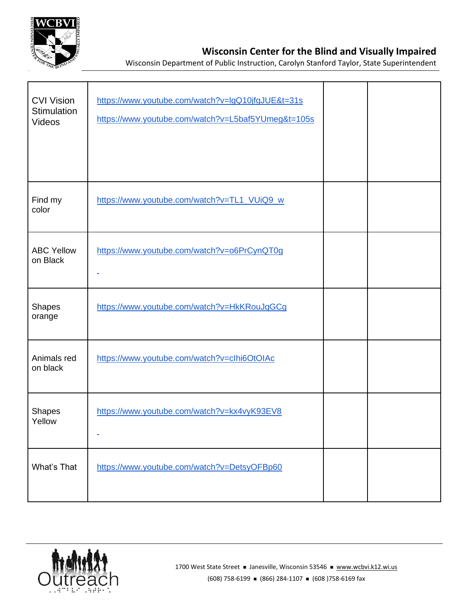

## **Wisconsin Center for the Blind and Visually Impaired**

Wisconsin Department of Public Instruction, Carolyn Stanford Taylor, State Superintendent

| <b>CVI Vision</b><br>Stimulation<br><b>Videos</b> | https://www.youtube.com/watch?v=lgQ10jfgJUE&t=31s<br>https://www.youtube.com/watch?v=L5baf5YUmeg&t=105s |  |
|---------------------------------------------------|---------------------------------------------------------------------------------------------------------|--|
| Find my<br>color                                  | https://www.youtube.com/watch?v=TL1_VUiQ9_w                                                             |  |
| <b>ABC Yellow</b><br>on Black                     | https://www.youtube.com/watch?v=o6PrCynQT0g<br>٠                                                        |  |
| <b>Shapes</b><br>orange                           | https://www.youtube.com/watch?v=HkKRouJqGCg                                                             |  |
| Animals red<br>on black                           | https://www.youtube.com/watch?v=clhi6OtOIAc                                                             |  |
| <b>Shapes</b><br>Yellow                           | https://www.youtube.com/watch?v=kx4vyK93EV8                                                             |  |
| What's That                                       | https://www.youtube.com/watch?v=DetsyOFBp60                                                             |  |